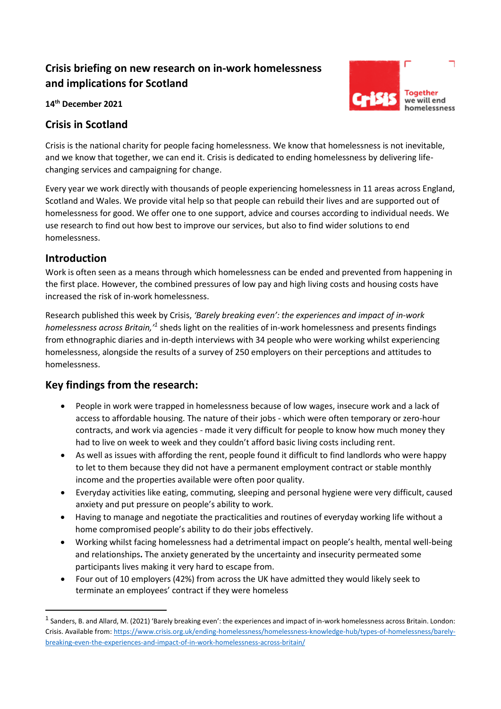# **Crisis briefing on new research on in-work homelessness and implications for Scotland**

Toaether we will end homelessness

**14th December 2021**

# **Crisis in Scotland**

Crisis is the national charity for people facing homelessness. We know that homelessness is not inevitable, and we know that together, we can end it. Crisis is dedicated to ending homelessness by delivering lifechanging services and campaigning for change.

Every year we work directly with thousands of people experiencing homelessness in 11 areas across England, Scotland and Wales. We provide vital help so that people can rebuild their lives and are supported out of homelessness for good. We offer one to one support, advice and courses according to individual needs. We use research to find out how best to improve our services, but also to find wider solutions to end homelessness.

# **Introduction**

Work is often seen as a means through which homelessness can be ended and prevented from happening in the first place. However, the combined pressures of low pay and high living costs and housing costs have increased the risk of in-work homelessness.

Research published this week by Crisis, *'Barely breaking even': the experiences and impact of in-work*  homelessness across Britain,<sup>11</sup> sheds light on the realities of in-work homelessness and presents findings from ethnographic diaries and in-depth interviews with 34 people who were working whilst experiencing homelessness, alongside the results of a survey of 250 employers on their perceptions and attitudes to homelessness.

# **Key findings from the research:**

- People in work were trapped in homelessness because of low wages, insecure work and a lack of access to affordable housing. The nature of their jobs - which were often temporary or zero-hour contracts, and work via agencies - made it very difficult for people to know how much money they had to live on week to week and they couldn't afford basic living costs including rent.
- As well as issues with affording the rent, people found it difficult to find landlords who were happy to let to them because they did not have a permanent employment contract or stable monthly income and the properties available were often poor quality.
- Everyday activities like eating, commuting, sleeping and personal hygiene were very difficult, caused anxiety and put pressure on people's ability to work.
- Having to manage and negotiate the practicalities and routines of everyday working life without a home compromised people's ability to do their jobs effectively.
- Working whilst facing homelessness had a detrimental impact on people's health, mental well-being and relationships**.** The anxiety generated by the uncertainty and insecurity permeated some participants lives making it very hard to escape from.
- Four out of 10 employers (42%) from across the UK have admitted they would likely seek to terminate an employees' contract if they were homeless

<sup>&</sup>lt;sup>1</sup> Sanders, B. and Allard, M. (2021) 'Barely breaking even': the experiences and impact of in-work homelessness across Britain. London: Crisis. Available from[: https://www.crisis.org.uk/ending-homelessness/homelessness-knowledge-hub/types-of-homelessness/barely](https://www.crisis.org.uk/ending-homelessness/homelessness-knowledge-hub/types-of-homelessness/barely-breaking-even-the-experiences-and-impact-of-in-work-homelessness-across-britain/)[breaking-even-the-experiences-and-impact-of-in-work-homelessness-across-britain/](https://www.crisis.org.uk/ending-homelessness/homelessness-knowledge-hub/types-of-homelessness/barely-breaking-even-the-experiences-and-impact-of-in-work-homelessness-across-britain/)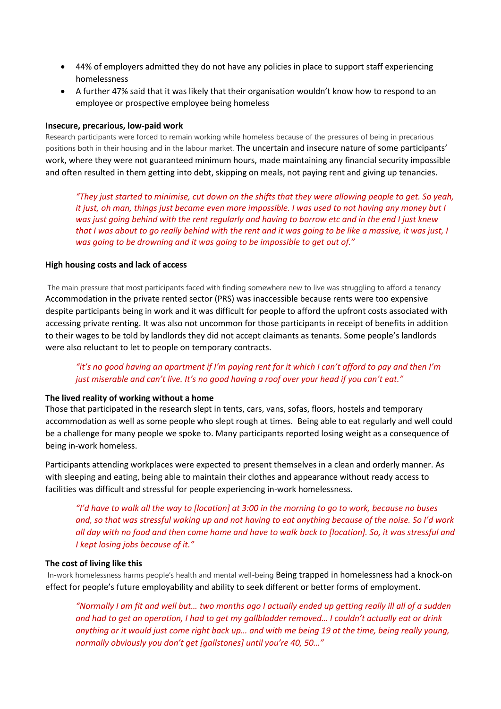- 44% of employers admitted they do not have any policies in place to support staff experiencing homelessness
- A further 47% said that it was likely that their organisation wouldn't know how to respond to an employee or prospective employee being homeless

### **Insecure, precarious, low-paid work**

Research participants were forced to remain working while homeless because of the pressures of being in precarious positions both in their housing and in the labour market. The uncertain and insecure nature of some participants' work, where they were not guaranteed minimum hours, made maintaining any financial security impossible and often resulted in them getting into debt, skipping on meals, not paying rent and giving up tenancies.

*"They just started to minimise, cut down on the shifts that they were allowing people to get. So yeah, it just, oh man, things just became even more impossible. I was used to not having any money but I was just going behind with the rent regularly and having to borrow etc and in the end I just knew that I was about to go really behind with the rent and it was going to be like a massive, it was just, I was going to be drowning and it was going to be impossible to get out of."*

### **High housing costs and lack of access**

The main pressure that most participants faced with finding somewhere new to live was struggling to afford a tenancy Accommodation in the private rented sector (PRS) was inaccessible because rents were too expensive despite participants being in work and it was difficult for people to afford the upfront costs associated with accessing private renting. It was also not uncommon for those participants in receipt of benefits in addition to their wages to be told by landlords they did not accept claimants as tenants. Some people's landlords were also reluctant to let to people on temporary contracts.

# *"it's no good having an apartment if I'm paying rent for it which I can't afford to pay and then I'm just miserable and can't live. It's no good having a roof over your head if you can't eat."*

### **The lived reality of working without a home**

Those that participated in the research slept in tents, cars, vans, sofas, floors, hostels and temporary accommodation as well as some people who slept rough at times. Being able to eat regularly and well could be a challenge for many people we spoke to. Many participants reported losing weight as a consequence of being in-work homeless.

Participants attending workplaces were expected to present themselves in a clean and orderly manner. As with sleeping and eating, being able to maintain their clothes and appearance without ready access to facilities was difficult and stressful for people experiencing in-work homelessness.

*"I'd have to walk all the way to [location] at 3:00 in the morning to go to work, because no buses and, so that was stressful waking up and not having to eat anything because of the noise. So I'd work all day with no food and then come home and have to walk back to [location]. So, it was stressful and I kept losing jobs because of it."*

### **The cost of living like this**

In-work homelessness harms people's health and mental well-being Being trapped in homelessness had a knock-on effect for people's future employability and ability to seek different or better forms of employment.

*"Normally I am fit and well but… two months ago I actually ended up getting really ill all of a sudden and had to get an operation, I had to get my gallbladder removed… I couldn't actually eat or drink anything or it would just come right back up… and with me being 19 at the time, being really young, normally obviously you don't get [gallstones] until you're 40, 50…"*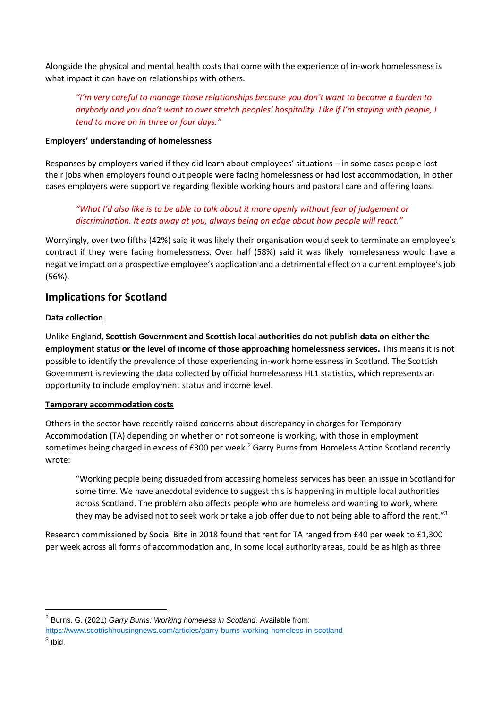Alongside the physical and mental health costs that come with the experience of in-work homelessness is what impact it can have on relationships with others.

*"I'm very careful to manage those relationships because you don't want to become a burden to anybody and you don't want to over stretch peoples' hospitality. Like if I'm staying with people, I tend to move on in three or four days."*

### **Employers' understanding of homelessness**

Responses by employers varied if they did learn about employees' situations – in some cases people lost their jobs when employers found out people were facing homelessness or had lost accommodation, in other cases employers were supportive regarding flexible working hours and pastoral care and offering loans.

*"What I'd also like is to be able to talk about it more openly without fear of judgement or discrimination. It eats away at you, always being on edge about how people will react."*

Worryingly, over two fifths (42%) said it was likely their organisation would seek to terminate an employee's contract if they were facing homelessness. Over half (58%) said it was likely homelessness would have a negative impact on a prospective employee's application and a detrimental effect on a current employee's job (56%).

# **Implications for Scotland**

# **Data collection**

Unlike England, **Scottish Government and Scottish local authorities do not publish data on either the employment status or the level of income of those approaching homelessness services.** This means it is not possible to identify the prevalence of those experiencing in-work homelessness in Scotland. The Scottish Government is reviewing the data collected by official homelessness HL1 statistics, which represents an opportunity to include employment status and income level.

# **Temporary accommodation costs**

Others in the sector have recently raised concerns about discrepancy in charges for Temporary Accommodation (TA) depending on whether or not someone is working, with those in employment sometimes being charged in excess of £300 per week.<sup>2</sup> Garry Burns from Homeless Action Scotland recently wrote:

"Working people being dissuaded from accessing homeless services has been an issue in Scotland for some time. We have anecdotal evidence to suggest this is happening in multiple local authorities across Scotland. The problem also affects people who are homeless and wanting to work, where they may be advised not to seek work or take a job offer due to not being able to afford the rent."<sup>3</sup>

Research commissioned by Social Bite in 2018 found that rent for TA ranged from £40 per week to £1,300 per week across all forms of accommodation and, in some local authority areas, could be as high as three

<sup>2</sup> Burns, G. (2021) *Garry Burns: Working homeless in Scotland.* Available from:

<https://www.scottishhousingnews.com/articles/garry-burns-working-homeless-in-scotland>  $3$  lbid.